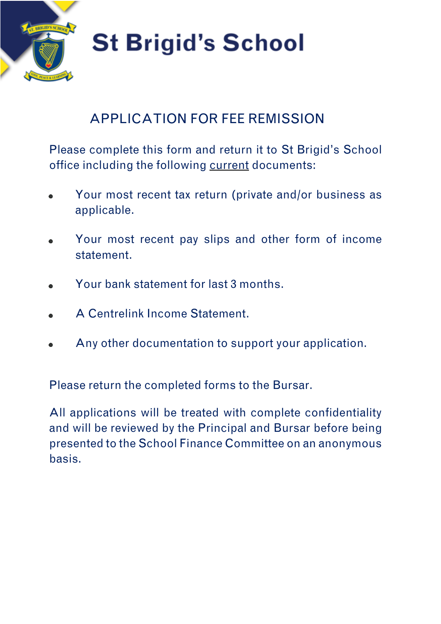

# **St Brigid's School**

### APPLICATION FOR FEE REMISSION

Please complete this form and return it to St Brigid's School office including the following current documents:

- Your most recent tax return (private and/or business as applicable.
- Your most recent pay slips and other form of income statement.
- Your bank statement for last 3 months.
- A Centrelink Income Statement.
- Any other documentation to support your application.

Please return the completed forms to the Bursar.

All applications will be treated with complete confidentiality and will be reviewed by the Principal and Bursar before being presented to the School Finance Committee on an anonymous basis.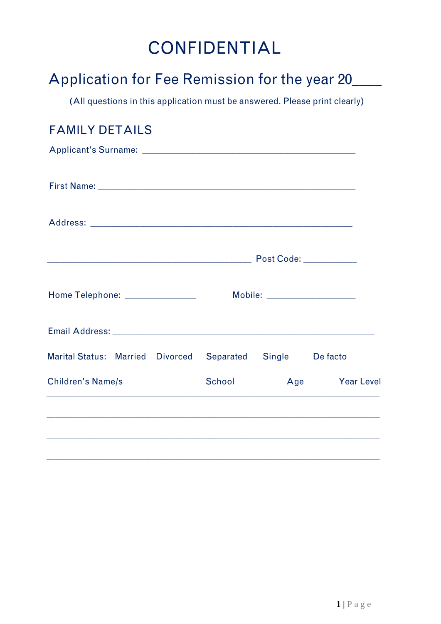## CONFIDENTIAL

| Application for Fee Remission for the year 20                              |        |     |                   |
|----------------------------------------------------------------------------|--------|-----|-------------------|
| (All questions in this application must be answered. Please print clearly) |        |     |                   |
| <b>FAMILY DETAILS</b>                                                      |        |     |                   |
|                                                                            |        |     |                   |
|                                                                            |        |     |                   |
|                                                                            |        |     |                   |
|                                                                            |        |     |                   |
| Home Telephone: _______________                                            |        |     |                   |
|                                                                            |        |     |                   |
| Marital Status: Married Divorced Separated Single Defacto                  |        |     |                   |
| <b>Children's Name/s</b>                                                   | School | Age | <b>Year Level</b> |
|                                                                            |        |     |                   |
|                                                                            |        |     |                   |
|                                                                            |        |     |                   |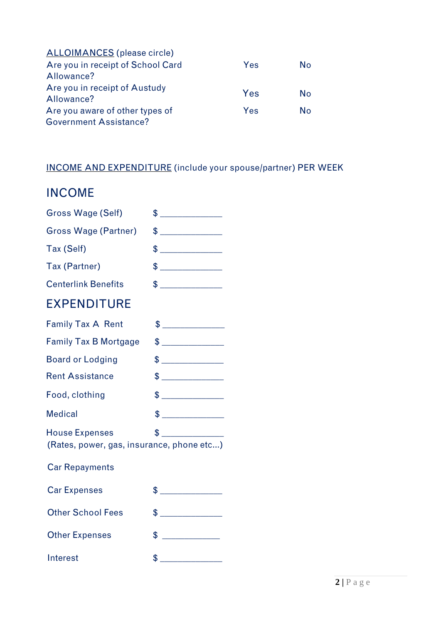| <b>ALLOIMANCES</b> (please circle) |     |           |
|------------------------------------|-----|-----------|
| Are you in receipt of School Card  | Yes | N٥        |
| Allowance?                         |     |           |
| Are you in receipt of Austudy      | Yes | <b>No</b> |
| Allowance?                         |     |           |
| Are you aware of other types of    | Yes | Nο        |
| <b>Government Assistance?</b>      |     |           |

#### INCOME AND EXPENDITURE (include your spouse/partner) PER WEEK

#### INCOME

| <b>Gross Wage (Self)</b>                                                            | $\frac{1}{2}$                                                                                                                                                                                                                                                                                                                                          |  |
|-------------------------------------------------------------------------------------|--------------------------------------------------------------------------------------------------------------------------------------------------------------------------------------------------------------------------------------------------------------------------------------------------------------------------------------------------------|--|
| <b>Gross Wage (Partner)</b>                                                         | $\frac{1}{2}$                                                                                                                                                                                                                                                                                                                                          |  |
| Tax (Self)                                                                          |                                                                                                                                                                                                                                                                                                                                                        |  |
| Tax (Partner)                                                                       | $\frac{1}{2}$                                                                                                                                                                                                                                                                                                                                          |  |
| <b>Centerlink Benefits</b>                                                          | $\frac{1}{2}$                                                                                                                                                                                                                                                                                                                                          |  |
| <b>EXPENDITURE</b>                                                                  |                                                                                                                                                                                                                                                                                                                                                        |  |
| <b>Family Tax A Rent</b>                                                            | $\frac{1}{2}$                                                                                                                                                                                                                                                                                                                                          |  |
| <b>Family Tax B Mortgage</b>                                                        | $\frac{1}{2}$                                                                                                                                                                                                                                                                                                                                          |  |
| <b>Board or Lodging</b>                                                             | $\big\{\begin{picture}(20,10) \put(0,0){\line(1,0){10}} \put(0,0){\line(1,0){10}} \put(15,0){\line(1,0){10}} \put(15,0){\line(1,0){10}} \put(15,0){\line(1,0){10}} \put(15,0){\line(1,0){10}} \put(15,0){\line(1,0){10}} \put(15,0){\line(1,0){10}} \put(15,0){\line(1,0){10}} \put(15,0){\line(1,0){10}} \put(15,0){\line(1,0){10}} \put(15,0){\line$ |  |
| <b>Rent Assistance</b>                                                              | $\frac{1}{2}$                                                                                                                                                                                                                                                                                                                                          |  |
| Food, clothing                                                                      | $\frac{1}{2}$                                                                                                                                                                                                                                                                                                                                          |  |
| <b>Medical</b>                                                                      | $\frac{1}{2}$                                                                                                                                                                                                                                                                                                                                          |  |
| $\frac{1}{2}$<br><b>House Expenses</b><br>(Rates, power, gas, insurance, phone etc) |                                                                                                                                                                                                                                                                                                                                                        |  |
| <b>Car Repayments</b>                                                               |                                                                                                                                                                                                                                                                                                                                                        |  |
| <b>Car Expenses</b>                                                                 | $\frac{1}{2}$                                                                                                                                                                                                                                                                                                                                          |  |
| <b>Other School Fees</b>                                                            | $\frac{1}{2}$                                                                                                                                                                                                                                                                                                                                          |  |
| <b>Other Expenses</b>                                                               | $\frac{1}{2}$                                                                                                                                                                                                                                                                                                                                          |  |
| Interest                                                                            | $\frac{1}{2}$                                                                                                                                                                                                                                                                                                                                          |  |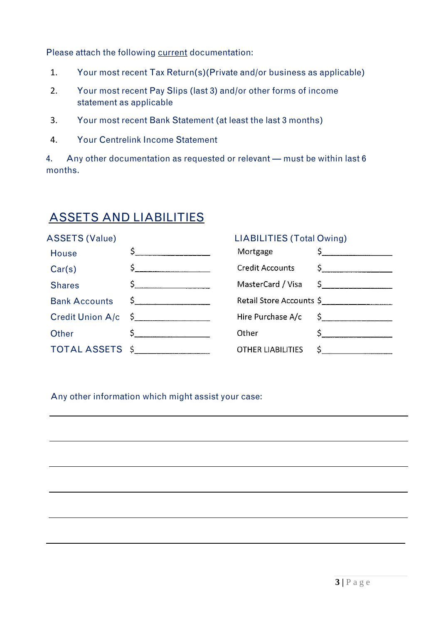Please attach the following current documentation:

- 1. Your most recent Tax Return(s)(Private and/or business as applicable)
- 2. Your most recent Pay Slips (last 3) and/or other forms of income statement as applicable
- 3. Your most recent Bank Statement (at least the last 3 months)
- 4. Your Centrelink Income Statement

4. Any other documentation as requested or relevant — must be within last 6 months.

#### ASSETS AND LIABILITIES

#### ASSETS (Value) LIABILITIES (Total Owing)  $\mathsf{S}$ Mortgage  $\zeta$ House  $\begin{picture}(20,10) \put(0,0){\line(1,0){10}} \put(15,0){\line(1,0){10}} \put(15,0){\line(1,0){10}} \put(15,0){\line(1,0){10}} \put(15,0){\line(1,0){10}} \put(15,0){\line(1,0){10}} \put(15,0){\line(1,0){10}} \put(15,0){\line(1,0){10}} \put(15,0){\line(1,0){10}} \put(15,0){\line(1,0){10}} \put(15,0){\line(1,0){10}} \put(15,0){\line(1$ **Credit Accounts**  $\frac{1}{2}$ Car(s)  $\frac{1}{2}$ MasterCard / Visa  $\mathsf{S}$ **Shares** Retail Store Accounts \$ Bank Accounts  $\sim$ Credit Union A/c \$ Hire Purchase A/c  $\frac{1}{2}$  $\mathsf{S} \hspace{0.05cm} \overbrace{\rule{2.0cm}{0.05cm}}$  $\frac{1}{2}$ **Other** Other TOTAL ASSETS \$  $\frac{1}{2}$ **OTHER LIABILITIES**

Any other information which might assist your case: